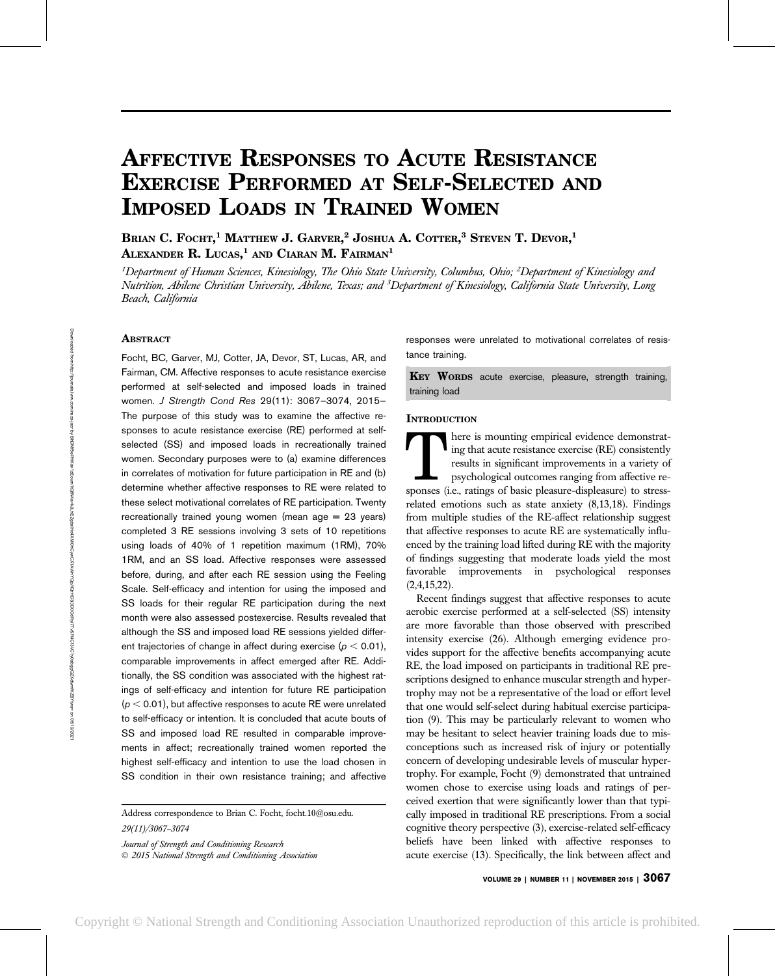# AFFECTIVE RESPONSES TO ACUTE RESISTANCE EXERCISE PERFORMED AT SELF-SELECTED AND IMPOSED LOADS IN TRAINED WOMEN

Brian C. Focht, $^1$  Matthew J. Garver, $^2$  Joshua A. Cotter, $^3$  Steven T. Devor, $^1$ Alexander R. Lucas, $^1$  and Ciaran M. Fairman $^1$ 

<sup>1</sup>Department of Human Sciences, Kinesiology, The Ohio State University, Columbus, Ohio; <sup>2</sup>Department of Kinesiology and Nutrition, Abilene Christian University, Abilene, Texas; and <sup>3</sup>Department of Kinesiology, California State University, Long Beach, California

# **ABSTRACT**

Focht, BC, Garver, MJ, Cotter, JA, Devor, ST, Lucas, AR, and Fairman, CM. Affective responses to acute resistance exercise performed at self-selected and imposed loads in trained women. J Strength Cond Res 29(11): 3067–3074, 2015— The purpose of this study was to examine the affective responses to acute resistance exercise (RE) performed at selfselected (SS) and imposed loads in recreationally trained women. Secondary purposes were to (a) examine differences in correlates of motivation for future participation in RE and (b) determine whether affective responses to RE were related to these select motivational correlates of RE participation. Twenty recreationally trained young women (mean age = 23 years) completed 3 RE sessions involving 3 sets of 10 repetitions using loads of 40% of 1 repetition maximum (1RM), 70% 1RM, and an SS load. Affective responses were assessed before, during, and after each RE session using the Feeling Scale. Self-efficacy and intention for using the imposed and SS loads for their regular RE participation during the next month were also assessed postexercise. Results revealed that although the SS and imposed load RE sessions yielded different trajectories of change in affect during exercise ( $p < 0.01$ ), comparable improvements in affect emerged after RE. Additionally, the SS condition was associated with the highest ratings of self-efficacy and intention for future RE participation  $(p < 0.01)$ , but affective responses to acute RE were unrelated to self-efficacy or intention. It is concluded that acute bouts of SS and imposed load RE resulted in comparable improvements in affect; recreationally trained women reported the highest self-efficacy and intention to use the load chosen in SS condition in their own resistance training; and affective

Address correspondence to Brian C. Focht, focht.10@osu.edu. 29(11)/3067–3074

Journal of Strength and Conditioning Research 2015 National Strength and Conditioning Association responses were unrelated to motivational correlates of resistance training.

KEY WORDS acute exercise, pleasure, strength training, training load

#### **INTRODUCTION**

There is mounting empirical evidence demonstrat-<br>ing that acute resistance exercise (RE) consistently<br>results in significant improvements in a variety of<br>psychological outcomes ranging from affective re-<br>sponses (i.e., rat ing that acute resistance exercise (RE) consistently results in significant improvements in a variety of psychological outcomes ranging from affective responses (i.e., ratings of basic pleasure-displeasure) to stressrelated emotions such as state anxiety (8,13,18). Findings from multiple studies of the RE-affect relationship suggest that affective responses to acute RE are systematically influenced by the training load lifted during RE with the majority of findings suggesting that moderate loads yield the most favorable improvements in psychological responses (2,4,15,22).

Recent findings suggest that affective responses to acute aerobic exercise performed at a self-selected (SS) intensity are more favorable than those observed with prescribed intensity exercise (26). Although emerging evidence provides support for the affective benefits accompanying acute RE, the load imposed on participants in traditional RE prescriptions designed to enhance muscular strength and hypertrophy may not be a representative of the load or effort level that one would self-select during habitual exercise participation (9). This may be particularly relevant to women who may be hesitant to select heavier training loads due to misconceptions such as increased risk of injury or potentially concern of developing undesirable levels of muscular hypertrophy. For example, Focht (9) demonstrated that untrained women chose to exercise using loads and ratings of perceived exertion that were significantly lower than that typically imposed in traditional RE prescriptions. From a social cognitive theory perspective (3), exercise-related self-efficacy beliefs have been linked with affective responses to acute exercise (13). Specifically, the link between affect and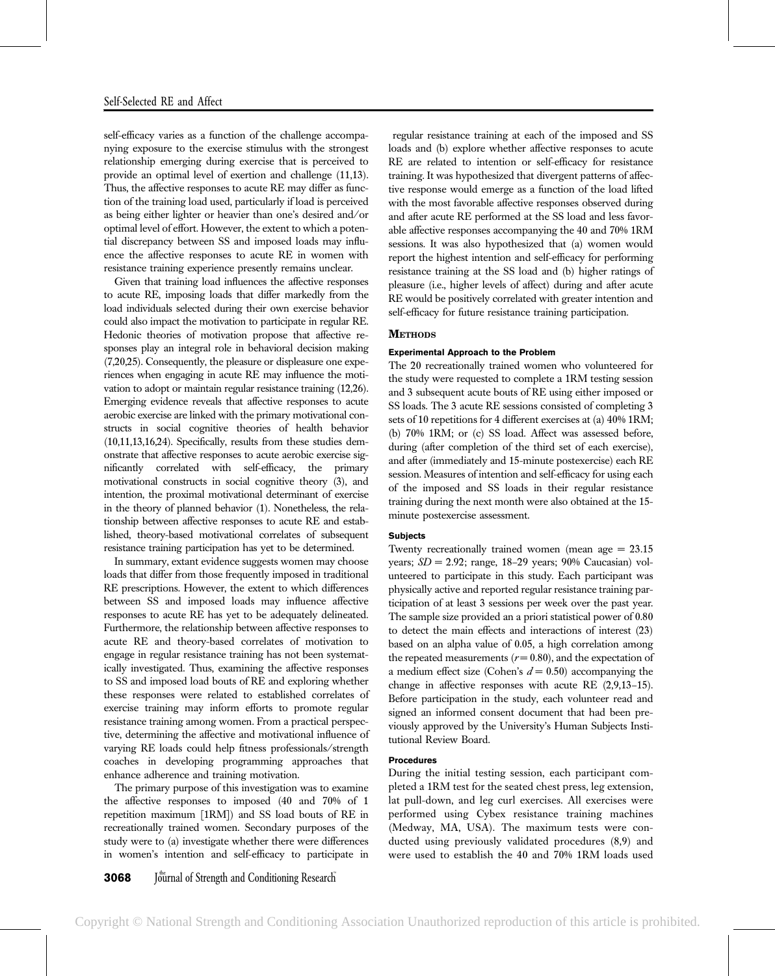self-efficacy varies as a function of the challenge accompanying exposure to the exercise stimulus with the strongest relationship emerging during exercise that is perceived to provide an optimal level of exertion and challenge (11,13). Thus, the affective responses to acute RE may differ as function of the training load used, particularly if load is perceived as being either lighter or heavier than one's desired and/or optimal level of effort. However, the extent to which a potential discrepancy between SS and imposed loads may influence the affective responses to acute RE in women with resistance training experience presently remains unclear.

Given that training load influences the affective responses to acute RE, imposing loads that differ markedly from the load individuals selected during their own exercise behavior could also impact the motivation to participate in regular RE. Hedonic theories of motivation propose that affective responses play an integral role in behavioral decision making (7,20,25). Consequently, the pleasure or displeasure one experiences when engaging in acute RE may influence the motivation to adopt or maintain regular resistance training (12,26). Emerging evidence reveals that affective responses to acute aerobic exercise are linked with the primary motivational constructs in social cognitive theories of health behavior (10,11,13,16,24). Specifically, results from these studies demonstrate that affective responses to acute aerobic exercise significantly correlated with self-efficacy, the primary motivational constructs in social cognitive theory (3), and intention, the proximal motivational determinant of exercise in the theory of planned behavior (1). Nonetheless, the relationship between affective responses to acute RE and established, theory-based motivational correlates of subsequent resistance training participation has yet to be determined.

In summary, extant evidence suggests women may choose loads that differ from those frequently imposed in traditional RE prescriptions. However, the extent to which differences between SS and imposed loads may influence affective responses to acute RE has yet to be adequately delineated. Furthermore, the relationship between affective responses to acute RE and theory-based correlates of motivation to engage in regular resistance training has not been systematically investigated. Thus, examining the affective responses to SS and imposed load bouts of RE and exploring whether these responses were related to established correlates of exercise training may inform efforts to promote regular resistance training among women. From a practical perspective, determining the affective and motivational influence of varying RE loads could help fitness professionals/strength coaches in developing programming approaches that enhance adherence and training motivation.

The primary purpose of this investigation was to examine the affective responses to imposed (40 and 70% of 1 repetition maximum [1RM]) and SS load bouts of RE in recreationally trained women. Secondary purposes of the study were to (a) investigate whether there were differences in women's intention and self-efficacy to participate in

regular resistance training at each of the imposed and SS loads and (b) explore whether affective responses to acute RE are related to intention or self-efficacy for resistance training. It was hypothesized that divergent patterns of affective response would emerge as a function of the load lifted with the most favorable affective responses observed during and after acute RE performed at the SS load and less favorable affective responses accompanying the 40 and 70% 1RM sessions. It was also hypothesized that (a) women would report the highest intention and self-efficacy for performing resistance training at the SS load and (b) higher ratings of pleasure (i.e., higher levels of affect) during and after acute RE would be positively correlated with greater intention and self-efficacy for future resistance training participation.

# **METHODS**

# Experimental Approach to the Problem

The 20 recreationally trained women who volunteered for the study were requested to complete a 1RM testing session and 3 subsequent acute bouts of RE using either imposed or SS loads. The 3 acute RE sessions consisted of completing 3 sets of 10 repetitions for 4 different exercises at (a) 40% 1RM; (b) 70% 1RM; or (c) SS load. Affect was assessed before, during (after completion of the third set of each exercise), and after (immediately and 15-minute postexercise) each RE session. Measures of intention and self-efficacy for using each of the imposed and SS loads in their regular resistance training during the next month were also obtained at the 15 minute postexercise assessment.

# **Subjects**

Twenty recreationally trained women (mean  $\text{age} = 23.15$ ) years;  $SD = 2.92$ ; range, 18-29 years; 90% Caucasian) volunteered to participate in this study. Each participant was physically active and reported regular resistance training participation of at least 3 sessions per week over the past year. The sample size provided an a priori statistical power of 0.80 to detect the main effects and interactions of interest (23) based on an alpha value of 0.05, a high correlation among the repeated measurements ( $r = 0.80$ ), and the expectation of a medium effect size (Cohen's  $d = 0.50$ ) accompanying the change in affective responses with acute RE (2,9,13–15). Before participation in the study, each volunteer read and signed an informed consent document that had been previously approved by the University's Human Subjects Institutional Review Board.

#### Procedures

During the initial testing session, each participant completed a 1RM test for the seated chest press, leg extension, lat pull-down, and leg curl exercises. All exercises were performed using Cybex resistance training machines (Medway, MA, USA). The maximum tests were conducted using previously validated procedures (8,9) and were used to establish the 40 and 70% 1RM loads used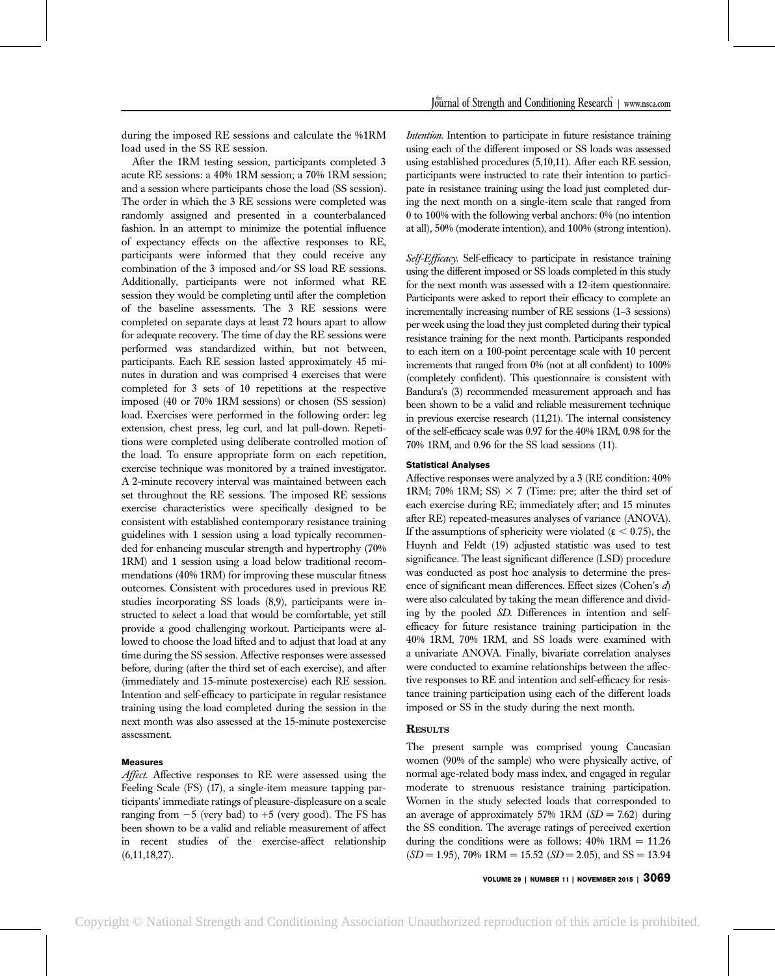during the imposed RE sessions and calculate the %1RM load used in the SS RE session.

After the 1RM testing session, participants completed 3 acute RE sessions: a 40% 1RM session; a 70% 1RM session; and a session where participants chose the load (SS session). The order in which the 3 RE sessions were completed was randomly assigned and presented in a counterbalanced fashion. In an attempt to minimize the potential influence of expectancy effects on the affective responses to RE, participants were informed that they could receive any combination of the 3 imposed and/or SS load RE sessions. Additionally, participants were not informed what RE session they would be completing until after the completion of the baseline assessments. The 3 RE sessions were completed on separate days at least 72 hours apart to allow for adequate recovery. The time of day the RE sessions were performed was standardized within, but not between, participants. Each RE session lasted approximately 45 minutes in duration and was comprised 4 exercises that were completed for 3 sets of 10 repetitions at the respective imposed (40 or 70% 1RM sessions) or chosen (SS session) load. Exercises were performed in the following order: leg extension, chest press, leg curl, and lat pull-down. Repetitions were completed using deliberate controlled motion of the load. To ensure appropriate form on each repetition, exercise technique was monitored by a trained investigator. A 2-minute recovery interval was maintained between each set throughout the RE sessions. The imposed RE sessions exercise characteristics were specifically designed to be consistent with established contemporary resistance training guidelines with 1 session using a load typically recommended for enhancing muscular strength and hypertrophy (70% 1RM) and 1 session using a load below traditional recommendations (40% 1RM) for improving these muscular fitness outcomes. Consistent with procedures used in previous RE studies incorporating SS loads (8,9), participants were instructed to select a load that would be comfortable, yet still provide a good challenging workout. Participants were allowed to choose the load lifted and to adjust that load at any time during the SS session. Affective responses were assessed before, during (after the third set of each exercise), and after (immediately and 15-minute postexercise) each RE session. Intention and self-efficacy to participate in regular resistance training using the load completed during the session in the next month was also assessed at the 15-minute postexercise assessment.

# Measures

Affect. Affective responses to RE were assessed using the Feeling Scale (FS) (17), a single-item measure tapping participants' immediate ratings of pleasure-displeasure on a scale ranging from  $-5$  (very bad) to  $+5$  (very good). The FS has been shown to be a valid and reliable measurement of affect in recent studies of the exercise-affect relationship (6,11,18,27).

Intention. Intention to participate in future resistance training using each of the different imposed or SS loads was assessed using established procedures (5,10,11). After each RE session, participants were instructed to rate their intention to participate in resistance training using the load just completed during the next month on a single-item scale that ranged from 0 to 100% with the following verbal anchors: 0% (no intention at all), 50% (moderate intention), and 100% (strong intention).

Self-Efficacy. Self-efficacy to participate in resistance training using the different imposed or SS loads completed in this study for the next month was assessed with a 12-item questionnaire. Participants were asked to report their efficacy to complete an incrementally increasing number of RE sessions (1–3 sessions) per week using the load they just completed during their typical resistance training for the next month. Participants responded to each item on a 100-point percentage scale with 10 percent increments that ranged from 0% (not at all confident) to 100% (completely confident). This questionnaire is consistent with Bandura's (3) recommended measurement approach and has been shown to be a valid and reliable measurement technique in previous exercise research (11,21). The internal consistency of the self-efficacy scale was 0.97 for the 40% 1RM, 0.98 for the 70% 1RM, and 0.96 for the SS load sessions (11).

#### Statistical Analyses

Affective responses were analyzed by a 3 (RE condition: 40% 1RM; 70% 1RM; SS)  $\times$  7 (Time: pre; after the third set of each exercise during RE; immediately after; and 15 minutes after RE) repeated-measures analyses of variance (ANOVA). If the assumptions of sphericity were violated ( $\epsilon$  < 0.75), the Huynh and Feldt (19) adjusted statistic was used to test significance. The least significant difference (LSD) procedure was conducted as post hoc analysis to determine the presence of significant mean differences. Effect sizes (Cohen's d) were also calculated by taking the mean difference and dividing by the pooled SD. Differences in intention and selfefficacy for future resistance training participation in the 40% 1RM, 70% 1RM, and SS loads were examined with a univariate ANOVA. Finally, bivariate correlation analyses were conducted to examine relationships between the affective responses to RE and intention and self-efficacy for resistance training participation using each of the different loads imposed or SS in the study during the next month.

#### **RESULTS**

The present sample was comprised young Caucasian women (90% of the sample) who were physically active, of normal age-related body mass index, and engaged in regular moderate to strenuous resistance training participation. Women in the study selected loads that corresponded to an average of approximately 57% 1RM  $(SD = 7.62)$  during the SS condition. The average ratings of perceived exertion during the conditions were as follows:  $40\%$  1RM = 11.26  $(SD = 1.95)$ , 70% 1RM = 15.52  $(SD = 2.05)$ , and SS = 13.94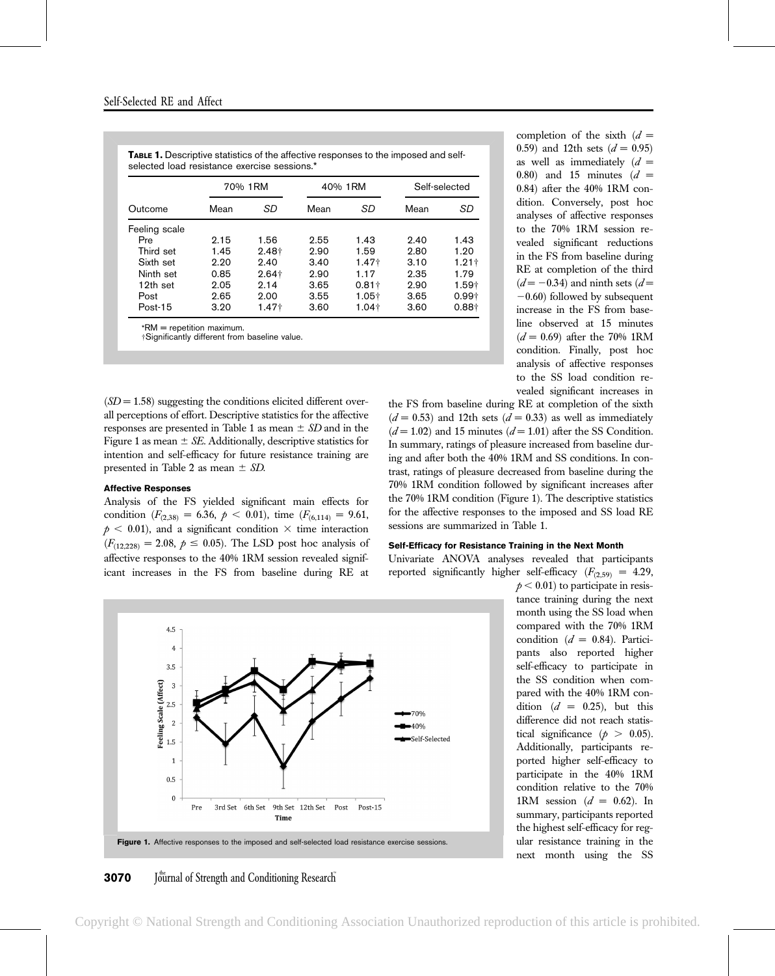| Outcome       | 70% 1RM |          | 40% 1RM |               | Self-selected |          |
|---------------|---------|----------|---------|---------------|---------------|----------|
|               | Mean    | SD       | Mean    | SD            | Mean          | SD       |
| Feeling scale |         |          |         |               |               |          |
| Pre           | 2.15    | 1.56     | 2.55    | 1.43          | 2.40          | 1.43     |
| Third set     | 1.45    | $2.48+$  | 2.90    | 1.59          | 2.80          | 1.20     |
| Sixth set     | 2.20    | 2.40     | 3.40    | $1.47+$       | 3.10          | $1.21$ † |
| Ninth set     | 0.85    | $2.64 +$ | 2.90    | 1.17          | 2.35          | 1.79     |
| 12th set      | 2.05    | 2.14     | 3.65    | $0.81\dagger$ | 2.90          | $1.59+$  |
| Post          | 2.65    | 2.00     | 3.55    | $1.05+$       | 3.65          | $0.99+$  |
| Post-15       | 3.20    | $1.47+$  | 3.60    | $1.04+$       | 3.60          | $0.88 +$ |

TABLE 1. Descriptive statistics of the affective responses to the imposed and self-

\*RM = repetition maximum.

†Significantly different from baseline value.

 $(SD = 1.58)$  suggesting the conditions elicited different overall perceptions of effort. Descriptive statistics for the affective responses are presented in Table 1 as mean  $\pm SD$  and in the Figure 1 as mean  $\pm$  *SE*. Additionally, descriptive statistics for intention and self-efficacy for future resistance training are presented in Table 2 as mean  $\pm$  SD.

#### Affective Responses

Analysis of the FS yielded significant main effects for condition ( $F_{(2,38)} = 6.36$ ,  $p < 0.01$ ), time ( $F_{(6,114)} = 9.61$ ,  $p < 0.01$ ), and a significant condition  $\times$  time interaction  $(F_{(12,228)} = 2.08, \ \rho \leq 0.05)$ . The LSD post hoc analysis of affective responses to the 40% 1RM session revealed significant increases in the FS from baseline during RE at

completion of the sixth  $(d =$ 0.59) and 12th sets  $(d = 0.95)$ as well as immediately  $(d =$ 0.80) and 15 minutes  $(d =$ 0.84) after the 40% 1RM condition. Conversely, post hoc analyses of affective responses to the 70% 1RM session revealed significant reductions in the FS from baseline during RE at completion of the third  $(d = -0.34)$  and ninth sets  $(d =$  $-0.60$ ) followed by subsequent increase in the FS from baseline observed at 15 minutes  $(d = 0.69)$  after the 70% 1RM condition. Finally, post hoc analysis of affective responses to the SS load condition revealed significant increases in

the FS from baseline during RE at completion of the sixth  $(d = 0.53)$  and 12th sets  $(d = 0.33)$  as well as immediately  $(d=1.02)$  and 15 minutes  $(d=1.01)$  after the SS Condition. In summary, ratings of pleasure increased from baseline during and after both the 40% 1RM and SS conditions. In contrast, ratings of pleasure decreased from baseline during the 70% 1RM condition followed by significant increases after the 70% 1RM condition (Figure 1). The descriptive statistics for the affective responses to the imposed and SS load RE sessions are summarized in Table 1.

#### Self-Efficacy for Resistance Training in the Next Month

Univariate ANOVA analyses revealed that participants reported significantly higher self-efficacy  $(F_{(2,59)} = 4.29)$ ,

 $p < 0.01$ ) to participate in resistance training during the next month using the SS load when compared with the 70% 1RM condition ( $d = 0.84$ ). Participants also reported higher self-efficacy to participate in the SS condition when compared with the 40% 1RM condition  $(d = 0.25)$ , but this difference did not reach statistical significance ( $p > 0.05$ ). Additionally, participants reported higher self-efficacy to participate in the 40% 1RM condition relative to the 70% 1RM session  $(d = 0.62)$ . In summary, participants reported the highest self-efficacy for regular resistance training in the next month using the SS



Figure 1. Affective responses to the imposed and self-selected load resistance exercise sessions.

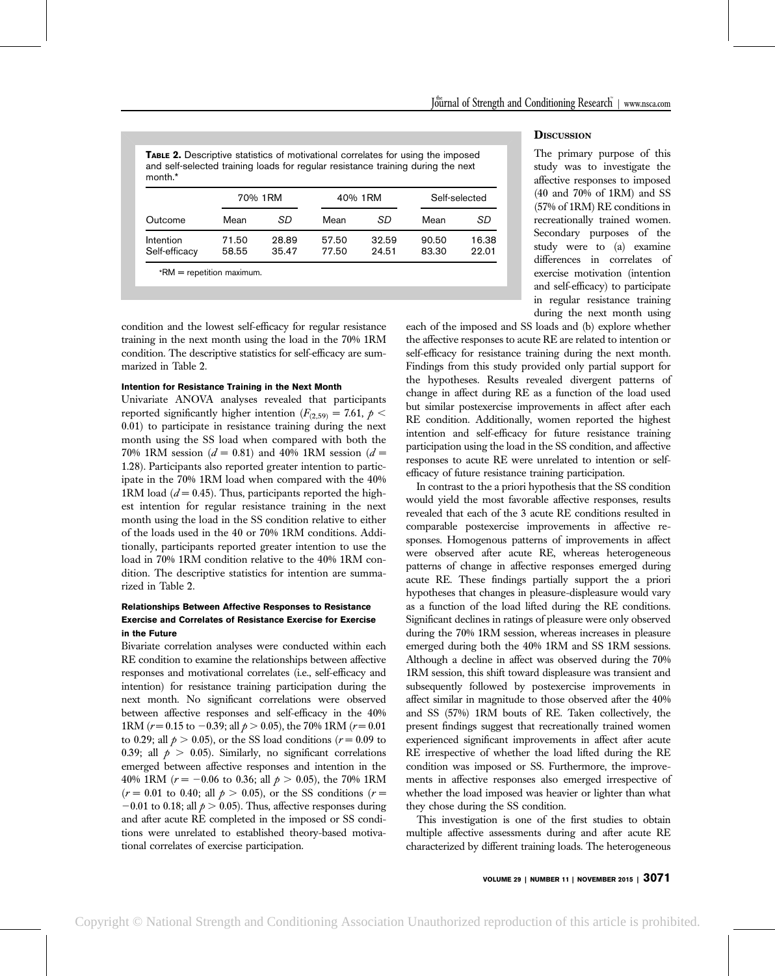TABLE 2. Descriptive statistics of motivational correlates for using the imposed and self-selected training loads for regular resistance training during the next month.\*

| Outcome          | 70% 1RM |       | 40% 1RM |       | Self-selected |       |
|------------------|---------|-------|---------|-------|---------------|-------|
|                  | Mean    | SD    | Mean    | SD    | Mean          | SD.   |
| <b>Intention</b> | 71.50   | 28.89 | 57.50   | 32.59 | 90.50         | 16.38 |
| Self-efficacy    | 58.55   | 35.47 | 77.50   | 24.51 | 83.30         | 22.01 |

\*RM = repetition maximum.

condition and the lowest self-efficacy for regular resistance training in the next month using the load in the 70% 1RM condition. The descriptive statistics for self-efficacy are summarized in Table 2.

#### Intention for Resistance Training in the Next Month

Univariate ANOVA analyses revealed that participants reported significantly higher intention ( $F_{(2,59)} = 7.61, p <$ 0.01) to participate in resistance training during the next month using the SS load when compared with both the 70% 1RM session ( $d = 0.81$ ) and 40% 1RM session ( $d =$ 1.28). Participants also reported greater intention to participate in the 70% 1RM load when compared with the 40% 1RM load ( $d = 0.45$ ). Thus, participants reported the highest intention for regular resistance training in the next month using the load in the SS condition relative to either of the loads used in the 40 or 70% 1RM conditions. Additionally, participants reported greater intention to use the load in 70% 1RM condition relative to the 40% 1RM condition. The descriptive statistics for intention are summarized in Table 2.

# Relationships Between Affective Responses to Resistance Exercise and Correlates of Resistance Exercise for Exercise in the Future

Bivariate correlation analyses were conducted within each RE condition to examine the relationships between affective responses and motivational correlates (i.e., self-efficacy and intention) for resistance training participation during the next month. No significant correlations were observed between affective responses and self-efficacy in the 40% 1RM ( $r = 0.15$  to  $-0.39$ ; all  $p > 0.05$ ), the 70% 1RM ( $r = 0.01$ ) to 0.29; all  $p > 0.05$ ), or the SS load conditions ( $r = 0.09$  to 0.39; all  $p > 0.05$ ). Similarly, no significant correlations emerged between affective responses and intention in the 40% 1RM ( $r = -0.06$  to 0.36; all  $p > 0.05$ ), the 70% 1RM  $(r = 0.01$  to 0.40; all  $p > 0.05$ ), or the SS conditions  $(r =$  $-0.01$  to 0.18; all  $p > 0.05$ ). Thus, affective responses during and after acute RE completed in the imposed or SS conditions were unrelated to established theory-based motivational correlates of exercise participation.

# **DISCUSSION**

The primary purpose of this study was to investigate the affective responses to imposed (40 and 70% of 1RM) and SS (57% of 1RM) RE conditions in recreationally trained women. Secondary purposes of the study were to (a) examine differences in correlates of exercise motivation (intention and self-efficacy) to participate in regular resistance training during the next month using

each of the imposed and SS loads and (b) explore whether the affective responses to acute RE are related to intention or self-efficacy for resistance training during the next month. Findings from this study provided only partial support for the hypotheses. Results revealed divergent patterns of change in affect during RE as a function of the load used but similar postexercise improvements in affect after each RE condition. Additionally, women reported the highest intention and self-efficacy for future resistance training participation using the load in the SS condition, and affective responses to acute RE were unrelated to intention or selfefficacy of future resistance training participation.

In contrast to the a priori hypothesis that the SS condition would yield the most favorable affective responses, results revealed that each of the 3 acute RE conditions resulted in comparable postexercise improvements in affective responses. Homogenous patterns of improvements in affect were observed after acute RE, whereas heterogeneous patterns of change in affective responses emerged during acute RE. These findings partially support the a priori hypotheses that changes in pleasure-displeasure would vary as a function of the load lifted during the RE conditions. Significant declines in ratings of pleasure were only observed during the 70% 1RM session, whereas increases in pleasure emerged during both the 40% 1RM and SS 1RM sessions. Although a decline in affect was observed during the 70% 1RM session, this shift toward displeasure was transient and subsequently followed by postexercise improvements in affect similar in magnitude to those observed after the 40% and SS (57%) 1RM bouts of RE. Taken collectively, the present findings suggest that recreationally trained women experienced significant improvements in affect after acute RE irrespective of whether the load lifted during the RE condition was imposed or SS. Furthermore, the improvements in affective responses also emerged irrespective of whether the load imposed was heavier or lighter than what they chose during the SS condition.

This investigation is one of the first studies to obtain multiple affective assessments during and after acute RE characterized by different training loads. The heterogeneous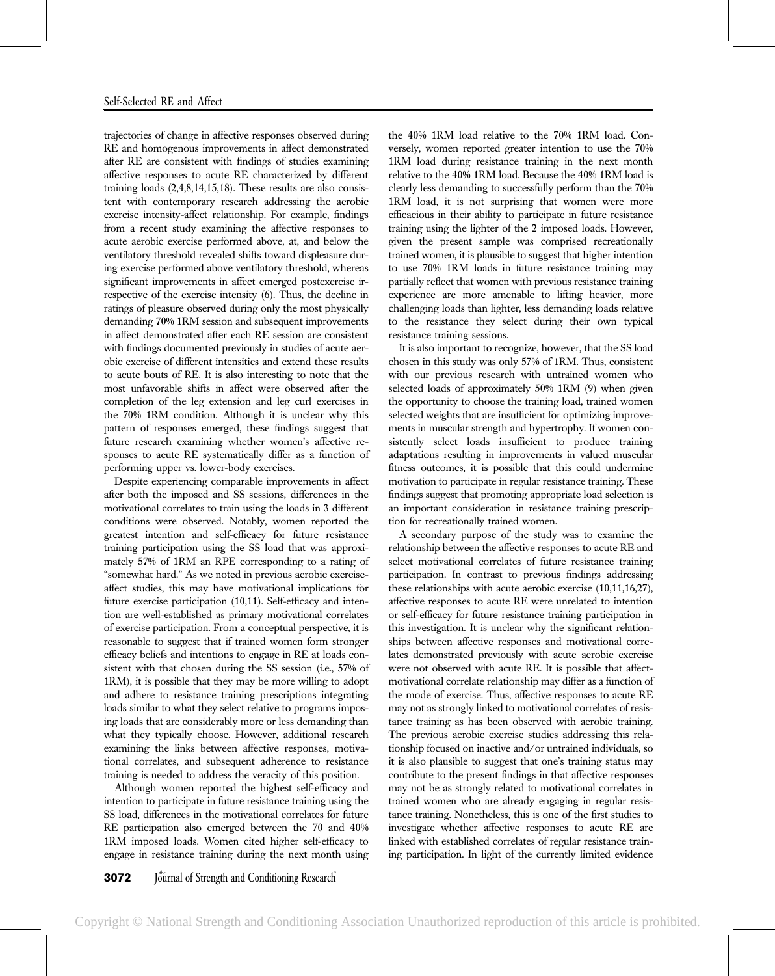trajectories of change in affective responses observed during RE and homogenous improvements in affect demonstrated after RE are consistent with findings of studies examining affective responses to acute RE characterized by different training loads (2,4,8,14,15,18). These results are also consistent with contemporary research addressing the aerobic exercise intensity-affect relationship. For example, findings from a recent study examining the affective responses to acute aerobic exercise performed above, at, and below the ventilatory threshold revealed shifts toward displeasure during exercise performed above ventilatory threshold, whereas significant improvements in affect emerged postexercise irrespective of the exercise intensity (6). Thus, the decline in ratings of pleasure observed during only the most physically demanding 70% 1RM session and subsequent improvements in affect demonstrated after each RE session are consistent with findings documented previously in studies of acute aerobic exercise of different intensities and extend these results to acute bouts of RE. It is also interesting to note that the most unfavorable shifts in affect were observed after the completion of the leg extension and leg curl exercises in the 70% 1RM condition. Although it is unclear why this pattern of responses emerged, these findings suggest that future research examining whether women's affective responses to acute RE systematically differ as a function of performing upper vs. lower-body exercises.

Despite experiencing comparable improvements in affect after both the imposed and SS sessions, differences in the motivational correlates to train using the loads in 3 different conditions were observed. Notably, women reported the greatest intention and self-efficacy for future resistance training participation using the SS load that was approximately 57% of 1RM an RPE corresponding to a rating of "somewhat hard." As we noted in previous aerobic exerciseaffect studies, this may have motivational implications for future exercise participation (10,11). Self-efficacy and intention are well-established as primary motivational correlates of exercise participation. From a conceptual perspective, it is reasonable to suggest that if trained women form stronger efficacy beliefs and intentions to engage in RE at loads consistent with that chosen during the SS session (i.e., 57% of 1RM), it is possible that they may be more willing to adopt and adhere to resistance training prescriptions integrating loads similar to what they select relative to programs imposing loads that are considerably more or less demanding than what they typically choose. However, additional research examining the links between affective responses, motivational correlates, and subsequent adherence to resistance training is needed to address the veracity of this position.

Although women reported the highest self-efficacy and intention to participate in future resistance training using the SS load, differences in the motivational correlates for future RE participation also emerged between the 70 and 40% 1RM imposed loads. Women cited higher self-efficacy to engage in resistance training during the next month using the 40% 1RM load relative to the 70% 1RM load. Conversely, women reported greater intention to use the 70% 1RM load during resistance training in the next month relative to the 40% 1RM load. Because the 40% 1RM load is clearly less demanding to successfully perform than the 70% 1RM load, it is not surprising that women were more efficacious in their ability to participate in future resistance training using the lighter of the 2 imposed loads. However, given the present sample was comprised recreationally trained women, it is plausible to suggest that higher intention to use 70% 1RM loads in future resistance training may partially reflect that women with previous resistance training experience are more amenable to lifting heavier, more challenging loads than lighter, less demanding loads relative to the resistance they select during their own typical resistance training sessions.

It is also important to recognize, however, that the SS load chosen in this study was only 57% of 1RM. Thus, consistent with our previous research with untrained women who selected loads of approximately 50% 1RM (9) when given the opportunity to choose the training load, trained women selected weights that are insufficient for optimizing improvements in muscular strength and hypertrophy. If women consistently select loads insufficient to produce training adaptations resulting in improvements in valued muscular fitness outcomes, it is possible that this could undermine motivation to participate in regular resistance training. These findings suggest that promoting appropriate load selection is an important consideration in resistance training prescription for recreationally trained women.

A secondary purpose of the study was to examine the relationship between the affective responses to acute RE and select motivational correlates of future resistance training participation. In contrast to previous findings addressing these relationships with acute aerobic exercise (10,11,16,27), affective responses to acute RE were unrelated to intention or self-efficacy for future resistance training participation in this investigation. It is unclear why the significant relationships between affective responses and motivational correlates demonstrated previously with acute aerobic exercise were not observed with acute RE. It is possible that affectmotivational correlate relationship may differ as a function of the mode of exercise. Thus, affective responses to acute RE may not as strongly linked to motivational correlates of resistance training as has been observed with aerobic training. The previous aerobic exercise studies addressing this relationship focused on inactive and/or untrained individuals, so it is also plausible to suggest that one's training status may contribute to the present findings in that affective responses may not be as strongly related to motivational correlates in trained women who are already engaging in regular resistance training. Nonetheless, this is one of the first studies to investigate whether affective responses to acute RE are linked with established correlates of regular resistance training participation. In light of the currently limited evidence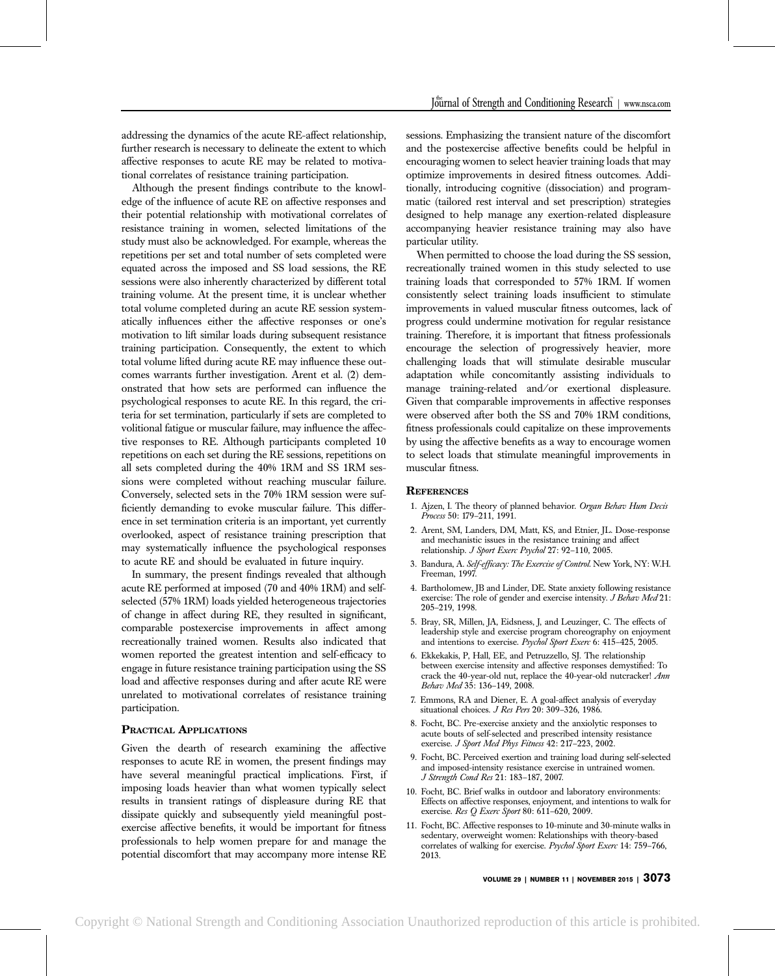addressing the dynamics of the acute RE-affect relationship, further research is necessary to delineate the extent to which affective responses to acute RE may be related to motivational correlates of resistance training participation.

Although the present findings contribute to the knowledge of the influence of acute RE on affective responses and their potential relationship with motivational correlates of resistance training in women, selected limitations of the study must also be acknowledged. For example, whereas the repetitions per set and total number of sets completed were equated across the imposed and SS load sessions, the RE sessions were also inherently characterized by different total training volume. At the present time, it is unclear whether total volume completed during an acute RE session systematically influences either the affective responses or one's motivation to lift similar loads during subsequent resistance training participation. Consequently, the extent to which total volume lifted during acute RE may influence these outcomes warrants further investigation. Arent et al. (2) demonstrated that how sets are performed can influence the psychological responses to acute RE. In this regard, the criteria for set termination, particularly if sets are completed to volitional fatigue or muscular failure, may influence the affective responses to RE. Although participants completed 10 repetitions on each set during the RE sessions, repetitions on all sets completed during the 40% 1RM and SS 1RM sessions were completed without reaching muscular failure. Conversely, selected sets in the 70% 1RM session were sufficiently demanding to evoke muscular failure. This difference in set termination criteria is an important, yet currently overlooked, aspect of resistance training prescription that may systematically influence the psychological responses to acute RE and should be evaluated in future inquiry.

In summary, the present findings revealed that although acute RE performed at imposed (70 and 40% 1RM) and selfselected (57% 1RM) loads yielded heterogeneous trajectories of change in affect during RE, they resulted in significant, comparable postexercise improvements in affect among recreationally trained women. Results also indicated that women reported the greatest intention and self-efficacy to engage in future resistance training participation using the SS load and affective responses during and after acute RE were unrelated to motivational correlates of resistance training participation.

## PRACTICAL APPLICATIONS

Given the dearth of research examining the affective responses to acute RE in women, the present findings may have several meaningful practical implications. First, if imposing loads heavier than what women typically select results in transient ratings of displeasure during RE that dissipate quickly and subsequently yield meaningful postexercise affective benefits, it would be important for fitness professionals to help women prepare for and manage the potential discomfort that may accompany more intense RE

sessions. Emphasizing the transient nature of the discomfort and the postexercise affective benefits could be helpful in encouraging women to select heavier training loads that may optimize improvements in desired fitness outcomes. Additionally, introducing cognitive (dissociation) and programmatic (tailored rest interval and set prescription) strategies designed to help manage any exertion-related displeasure accompanying heavier resistance training may also have particular utility.

When permitted to choose the load during the SS session, recreationally trained women in this study selected to use training loads that corresponded to 57% 1RM. If women consistently select training loads insufficient to stimulate improvements in valued muscular fitness outcomes, lack of progress could undermine motivation for regular resistance training. Therefore, it is important that fitness professionals encourage the selection of progressively heavier, more challenging loads that will stimulate desirable muscular adaptation while concomitantly assisting individuals to manage training-related and/or exertional displeasure. Given that comparable improvements in affective responses were observed after both the SS and 70% 1RM conditions, fitness professionals could capitalize on these improvements by using the affective benefits as a way to encourage women to select loads that stimulate meaningful improvements in muscular fitness.

#### **REFERENCES**

- 1. Ajzen, I. The theory of planned behavior. Organ Behav Hum Decis Process 50: 179-211, 1991.
- 2. Arent, SM, Landers, DM, Matt, KS, and Etnier, JL. Dose-response and mechanistic issues in the resistance training and affect relationship. J Sport Exerc Psychol 27: 92-110, 2005.
- 3. Bandura, A. Self-efficacy: The Exercise of Control. New York, NY: W.H. Freeman, 1997.
- 4. Bartholomew, JB and Linder, DE. State anxiety following resistance exercise: The role of gender and exercise intensity. *J Behav Med* 21: 205–219, 1998.
- 5. Bray, SR, Millen, JA, Eidsness, J, and Leuzinger, C. The effects of leadership style and exercise program choreography on enjoyment and intentions to exercise. Psychol Sport Exerc 6: 415-425, 2005.
- 6. Ekkekakis, P, Hall, EE, and Petruzzello, SJ. The relationship between exercise intensity and affective responses demystified: To crack the 40-year-old nut, replace the 40-year-old nutcracker! Ann Behav Med 35: 136-149, 2008.
- 7. Emmons, RA and Diener, E. A goal-affect analysis of everyday situational choices. J Res Pers 20: 309–326, 1986.
- 8. Focht, BC. Pre-exercise anxiety and the anxiolytic responses to acute bouts of self-selected and prescribed intensity resistance exercise. J Sport Med Phys Fitness 42: 217-223, 2002.
- 9. Focht, BC. Perceived exertion and training load during self-selected and imposed-intensity resistance exercise in untrained women. J Strength Cond Res 21: 183–187, 2007.
- 10. Focht, BC. Brief walks in outdoor and laboratory environments: Effects on affective responses, enjoyment, and intentions to walk for exercise. Res Q Exerc Sport 80: 611-620, 2009.
- 11. Focht, BC. Affective responses to 10-minute and 30-minute walks in sedentary, overweight women: Relationships with theory-based correlates of walking for exercise. Psychol Sport Exerc 14: 759-766, 2013.

VOLUME 29 | NUMBER 11 | NOVEMBER 2015 | 3073